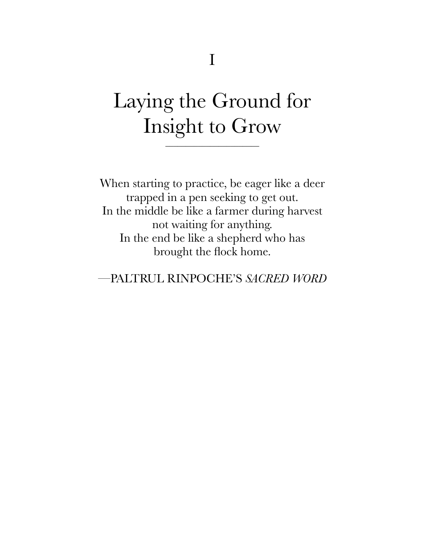## Laying the Ground for Insight to Grow

\_\_\_\_\_\_\_\_\_\_\_\_\_\_\_\_\_\_\_\_\_\_\_

When starting to practice, be eager like a deer trapped in a pen seeking to get out. In the middle be like a farmer during harvest not waiting for anything. In the end be like a shepherd who has brought the flock home.

—PALTRUL RINPOCHE'S *SACRED WORD*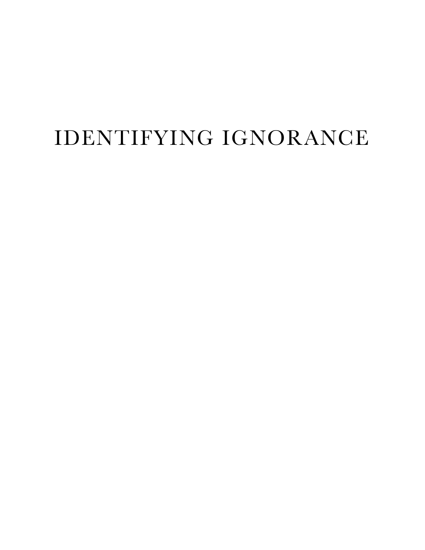## IDENTIFYING IGNORANCE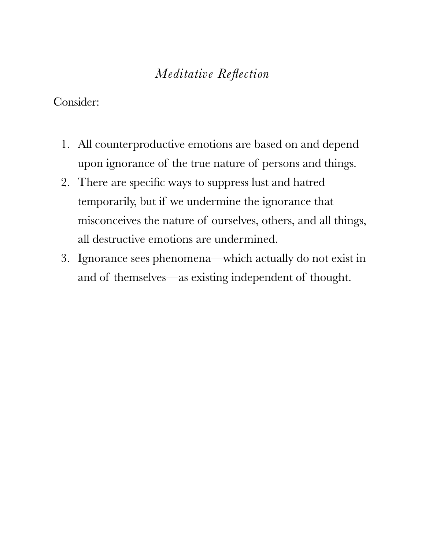#### *Meditative Reflection*

#### Consider:

- 1. All counterproductive emotions are based on and depend upon ignorance of the true nature of persons and things.
- 2. There are specific ways to suppress lust and hatred temporarily, but if we undermine the ignorance that misconceives the nature of ourselves, others, and all things, all destructive emotions are undermined.
- 3. Ignorance sees phenomena—which actually do not exist in and of themselves—as existing independent of thought.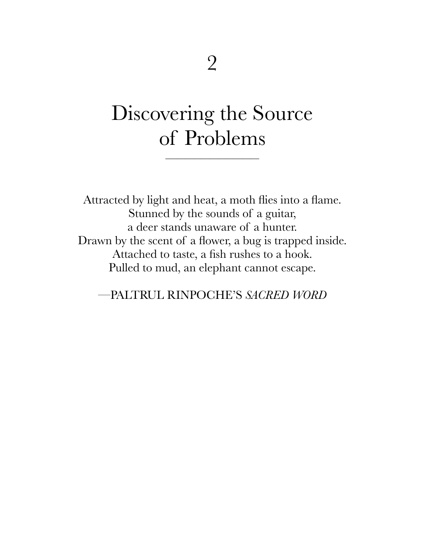## Discovering the Source of Problems

\_\_\_\_\_\_\_\_\_\_\_\_\_\_\_\_\_\_\_\_\_\_\_

Attracted by light and heat, a moth flies into a flame. Stunned by the sounds of a guitar, a deer stands unaware of a hunter. Drawn by the scent of a flower, a bug is trapped inside. Attached to taste, a fish rushes to a hook. Pulled to mud, an elephant cannot escape.

—PALTRUL RINPOCHE'S *SACRED WORD*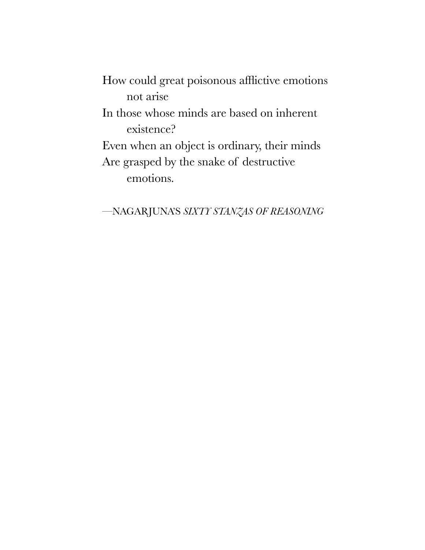How could great poisonous afflictive emotions not arise

In those whose minds are based on inherent existence?

Even when an object is ordinary, their minds Are grasped by the snake of destructive emotions.

—NAGARJUNA'S *SIXTY STANZAS OF REASONING*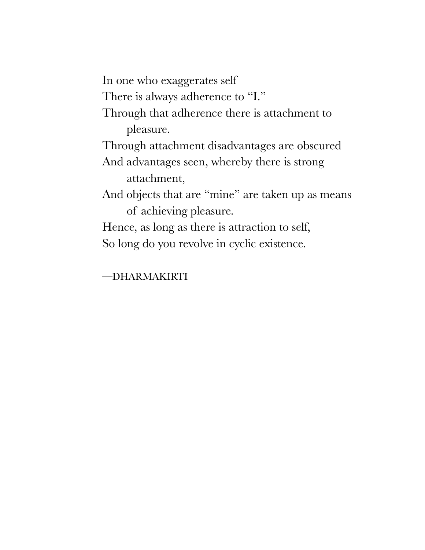In one who exaggerates self

There is always adherence to "I."

Through that adherence there is attachment to pleasure.

Through attachment disadvantages are obscured

And advantages seen, whereby there is strong attachment,

And objects that are "mine" are taken up as means of achieving pleasure.

Hence, as long as there is attraction to self, So long do you revolve in cyclic existence.

—DHARMAKIRTI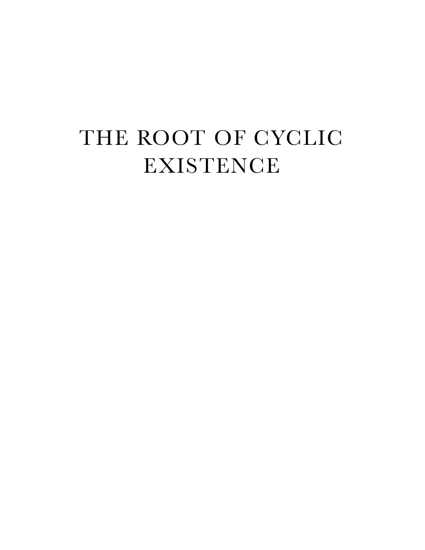# THE ROOT OF CYCLIC EXISTENCE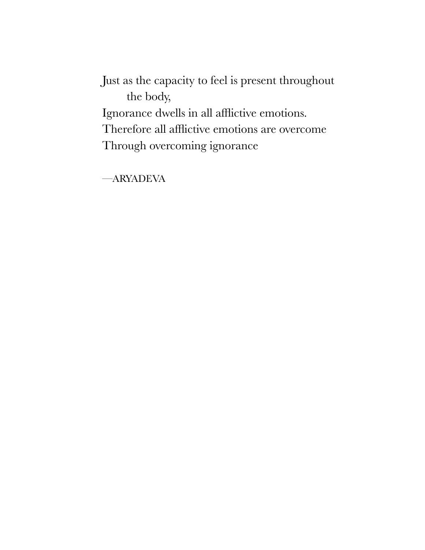Just as the capacity to feel is present throughout the body, Ignorance dwells in all afflictive emotions. Therefore all afflictive emotions are overcome Through overcoming ignorance

—ARYADEVA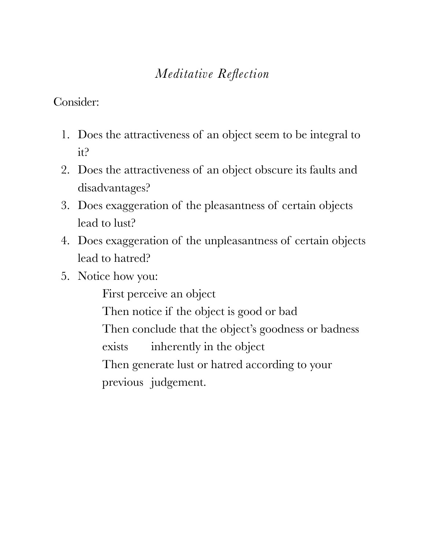### *Meditative Reflection*

Consider:

- 1. Does the attractiveness of an object seem to be integral to it?
- 2. Does the attractiveness of an object obscure its faults and disadvantages?
- 3. Does exaggeration of the pleasantness of certain objects lead to lust?
- 4. Does exaggeration of the unpleasantness of certain objects lead to hatred?
- 5. Notice how you:

First perceive an object

Then notice if the object is good or bad

Then conclude that the object's goodness or badness

exists inherently in the object

Then generate lust or hatred according to your previous judgement.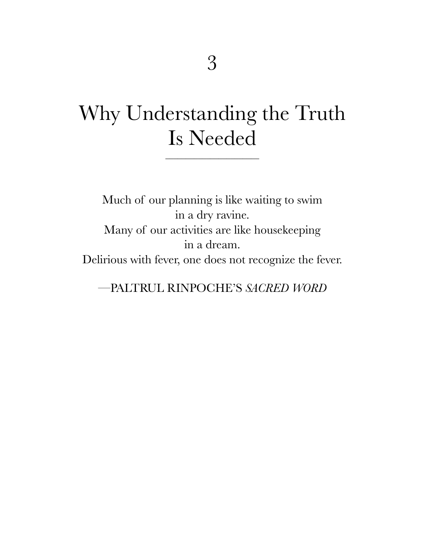## Why Understanding the Truth Is Needed

\_\_\_\_\_\_\_\_\_\_\_\_\_\_\_\_\_\_\_\_\_\_\_

Much of our planning is like waiting to swim in a dry ravine. Many of our activities are like housekeeping in a dream. Delirious with fever, one does not recognize the fever.

—PALTRUL RINPOCHE'S *SACRED WORD*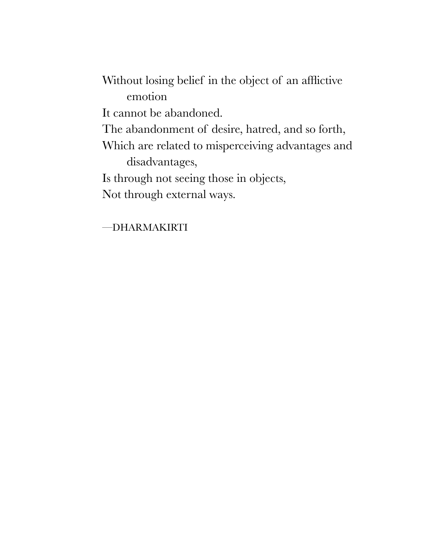Without losing belief in the object of an afflictive emotion It cannot be abandoned. The abandonment of desire, hatred, and so forth, Which are related to misperceiving advantages and disadvantages, Is through not seeing those in objects, Not through external ways.

—DHARMAKIRTI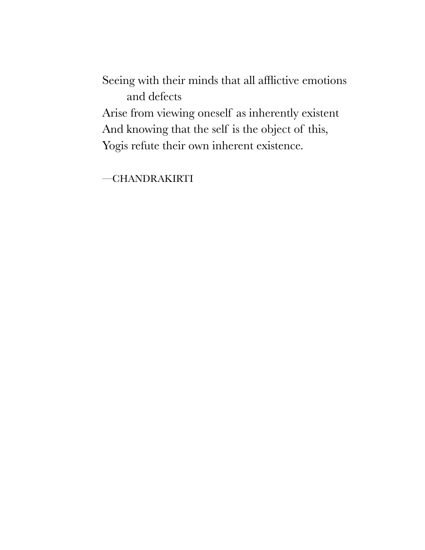Seeing with their minds that all afflictive emotions and defects

Arise from viewing oneself as inherently existent And knowing that the self is the object of this, Yogis refute their own inherent existence.

—CHANDRAKIRTI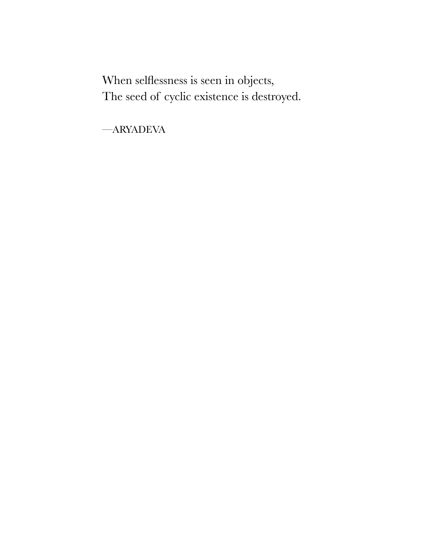When selflessness is seen in objects, The seed of cyclic existence is destroyed.

—ARYADEVA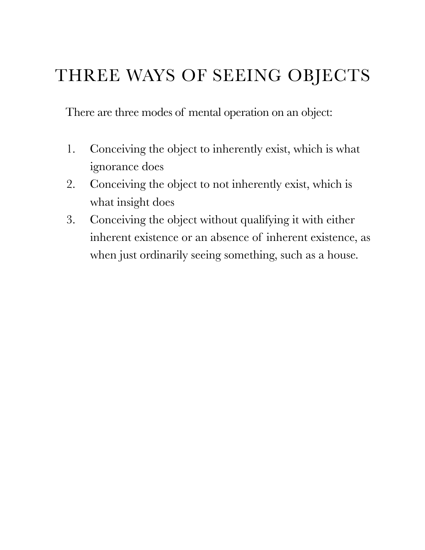### THREE WAYS OF SEEING OBJECTS

There are three modes of mental operation on an object:

- 1. Conceiving the object to inherently exist, which is what ignorance does
- 2. Conceiving the object to not inherently exist, which is what insight does
- 3. Conceiving the object without qualifying it with either inherent existence or an absence of inherent existence, as when just ordinarily seeing something, such as a house.